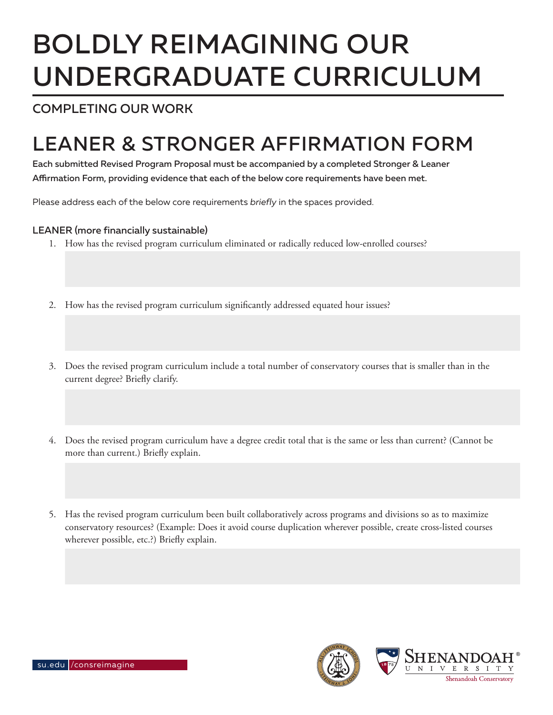# BOLDLY REIMAGINING OUR UNDERGRADUATE CURRICULUM

### COMPLETING OUR WORK

## LEANER & STRONGER AFFIRMATION FORM

Each submitted Revised Program Proposal must be accompanied by a completed Stronger & Leaner Affirmation Form, providing evidence that each of the below core requirements have been met.

Please address each of the below core requirements *briefly* in the spaces provided.

#### LEANER (more financially sustainable)

- 1. How has the revised program curriculum eliminated or radically reduced low-enrolled courses?
- 2. How has the revised program curriculum significantly addressed equated hour issues?
- 3. Does the revised program curriculum include a total number of conservatory courses that is smaller than in the current degree? Briefly clarify.
- 4. Does the revised program curriculum have a degree credit total that is the same or less than current? (Cannot be more than current.) Briefly explain.
- 5. Has the revised program curriculum been built collaboratively across programs and divisions so as to maximize conservatory resources? (Example: Does it avoid course duplication wherever possible, create cross-listed courses wherever possible, etc.?) Briefly explain.